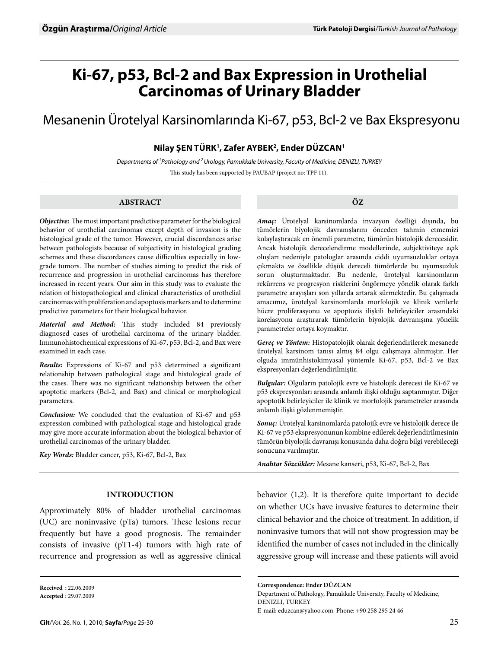# **Ki-67, p53, Bcl-2 and Bax Expression in Urothelial Carcinomas of Urinary Bladder**

## Mesanenin Ürotelyal Karsinomlarında Ki-67, p53, Bcl-2 ve Bax Ekspresyonu

## **Nilay Şen Türk1 , Zafer Aybek2 , Ender Düzcan1**

*Departments of 1 Pathology and 2 Urology, Pamukkale University, Faculty of Medicine, DENIZLI, TURKEY* This study has been supported by PAUBAP (project no: TPF 11).

## **ABSTRACT**

*Objective:* The most important predictive parameter for the biological behavior of urothelial carcinomas except depth of invasion is the histological grade of the tumor. However, crucial discordances arise between pathologists because of subjectivity in histological grading schemes and these discordances cause difficulties especially in lowgrade tumors. The number of studies aiming to predict the risk of recurrence and progression in urothelial carcinomas has therefore increased in recent years. Our aim in this study was to evaluate the relation of histopathological and clinical characteristics of urothelial carcinomas with proliferation and apoptosis markers and to determine predictive parameters for their biological behavior.

*Material and Method:* This study included 84 previously diagnosed cases of urothelial carcinoma of the urinary bladder. Immunohistochemical expressions of Ki-67, p53, Bcl-2, and Bax were examined in each case.

*Results:* Expressions of Ki-67 and p53 determined a significant relationship between pathological stage and histological grade of the cases. There was no significant relationship between the other apoptotic markers (Bcl-2, and Bax) and clinical or morphological parameters.

*Conclusion:* We concluded that the evaluation of Ki-67 and p53 expression combined with pathological stage and histological grade may give more accurate information about the biological behavior of urothelial carcinomas of the urinary bladder.

*Key Words:* Bladder cancer, p53, Ki-67, Bcl-2, Bax

## **INTRODUCTION**

Approximately 80% of bladder urothelial carcinomas (UC) are noninvasive (pTa) tumors. These lesions recur frequently but have a good prognosis. The remainder consists of invasive (pT1-4) tumors with high rate of recurrence and progression as well as aggressive clinical

**Received :** 22.06.2009 **Accepted :** 29.07.2009 **ÖZ**

*Amaç:* Ürotelyal karsinomlarda invazyon özelliği dışında, bu tümörlerin biyolojik davranışlarını önceden tahmin etmemizi kolaylaştıracak en önemli parametre, tümörün histolojik derecesidir. Ancak histolojik derecelendirme modellerinde, subjektiviteye açık oluşları nedeniyle patologlar arasında ciddi uyumsuzluklar ortaya çıkmakta ve özellikle düşük dereceli tümörlerde bu uyumsuzluk sorun oluşturmaktadır. Bu nedenle, ürotelyal karsinomların rekürrens ve progresyon risklerini öngörmeye yönelik olarak farklı parametre arayışları son yıllarda artarak sürmektedir. Bu çalışmada amacımız, ürotelyal karsinomlarda morfolojik ve klinik verilerle hücre proliferasyonu ve apoptozis ilişkili belirleyiciler arasındaki korelasyonu araştırarak tümörlerin biyolojik davranışına yönelik parametreler ortaya koymaktır.

*Gereç ve Yöntem:* Histopatolojik olarak değerlendirilerek mesanede ürotelyal karsinom tanısı almış 84 olgu çalışmaya alınmıştır. Her olguda immünhistokimyasal yöntemle Ki-67, p53, Bcl-2 ve Bax ekspresyonları değerlendirilmiştir.

*Bulgular:* Olguların patolojik evre ve histolojik derecesi ile Ki-67 ve p53 ekspresyonları arasında anlamlı ilişki olduğu saptanmıştır. Diğer apoptotik belirleyiciler ile klinik ve morfolojik parametreler arasında anlamlı ilişki gözlenmemiştir.

*Sonuç:* Ürotelyal karsinomlarda patolojik evre ve histolojik derece ile Ki-67 ve p53 ekspresyonunun kombine edilerek değerlendirilmesinin tümörün biyolojik davranışı konusunda daha doğru bilgi verebileceği sonucuna varılmıştır.

*Anahtar Sözcükler:* Mesane kanseri, p53, Ki-67, Bcl-2, Bax

behavior (1,2). It is therefore quite important to decide on whether UCs have invasive features to determine their clinical behavior and the choice of treatment. In addition, if noninvasive tumors that will not show progression may be identified the number of cases not included in the clinically aggressive group will increase and these patients will avoid

Department of Pathology, Pamukkale University, Faculty of Medicine, DENIZLI, TURKEY E-mail: eduzcan@yahoo.com Phone: +90 258 295 24 46

**Correspondence: Ender DÜZCAN**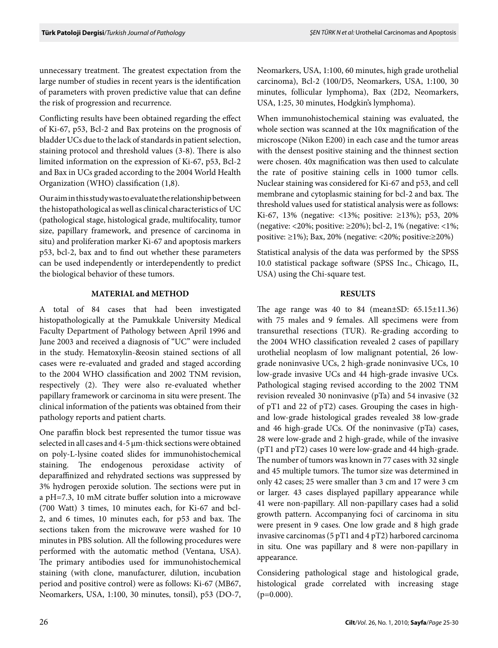unnecessary treatment. The greatest expectation from the large number of studies in recent years is the identification of parameters with proven predictive value that can define the risk of progression and recurrence.

Conflicting results have been obtained regarding the effect of Ki-67, p53, Bcl-2 and Bax proteins on the prognosis of bladder UCs due to the lack of standards in patient selection, staining protocol and threshold values (3-8). There is also limited information on the expression of Ki-67, p53, Bcl-2 and Bax in UCs graded according to the 2004 World Health Organization (WHO) classification (1,8).

Our aim in this study was to evaluate the relationship between the histopathological as well as clinical characteristics of UC (pathological stage, histological grade, multifocality, tumor size, papillary framework, and presence of carcinoma in situ) and proliferation marker Ki-67 and apoptosis markers p53, bcl-2, bax and to find out whether these parameters can be used independently or interdependently to predict the biological behavior of these tumors.

## **MATERIAL and METHOD**

A total of 84 cases that had been investigated histopathologically at the Pamukkale University Medical Faculty Department of Pathology between April 1996 and June 2003 and received a diagnosis of "UC" were included in the study. Hematoxylin-&eosin stained sections of all cases were re-evaluated and graded and staged according to the 2004 WHO classification and 2002 TNM revision, respectively (2). They were also re-evaluated whether papillary framework or carcinoma in situ were present. The clinical information of the patients was obtained from their pathology reports and patient charts.

One paraffin block best represented the tumor tissue was selected in all cases and 4-5 μm-thick sections were obtained on poly-L-lysine coated slides for immunohistochemical staining. The endogenous peroxidase activity of deparaffinized and rehydrated sections was suppressed by 3% hydrogen peroxide solution. The sections were put in a pH=7.3, 10 mM citrate buffer solution into a microwave (700 Watt) 3 times, 10 minutes each, for Ki-67 and bcl-2, and 6 times, 10 minutes each, for p53 and bax. The sections taken from the microwave were washed for 10 minutes in PBS solution. All the following procedures were performed with the automatic method (Ventana, USA). The primary antibodies used for immunohistochemical staining (with clone, manufacturer, dilution, incubation period and positive control) were as follows: Ki-67 (MB67, Neomarkers, USA, 1:100, 30 minutes, tonsil), p53 (DO-7, Neomarkers, USA, 1:100, 60 minutes, high grade urothelial carcinoma), Bcl-2 (100/D5, Neomarkers, USA, 1:100, 30 minutes, follicular lymphoma), Bax (2D2, Neomarkers, USA, 1:25, 30 minutes, Hodgkin's lymphoma).

When immunohistochemical staining was evaluated, the whole section was scanned at the 10x magnification of the microscope (Nikon E200) in each case and the tumor areas with the densest positive staining and the thinnest section were chosen. 40x magnification was then used to calculate the rate of positive staining cells in 1000 tumor cells. Nuclear staining was considered for Ki-67 and p53, and cell membrane and cytoplasmic staining for bcl-2 and bax. The threshold values used for statistical analysis were as follows: Ki-67, 13% (negative: <13%; positive: ≥13%); p53, 20% (negative: <20%; positive:  $\geq$ 20%); bcl-2, 1% (negative: <1%; positive: ≥1%); Bax, 20% (negative: <20%; positive:≥20%)

Statistical analysis of the data was performed by the SPSS 10.0 statistical package software (SPSS Inc., Chicago, IL, USA) using the Chi-square test.

## **RESULTS**

The age range was 40 to 84 (mean $\pm$ SD: 65.15 $\pm$ 11.36) with 75 males and 9 females. All specimens were from transurethal resections (TUR). Re-grading according to the 2004 WHO classification revealed 2 cases of papillary urothelial neoplasm of low malignant potential, 26 lowgrade noninvasive UCs, 2 high-grade noninvasive UCs, 10 low-grade invasive UCs and 44 high-grade invasive UCs. Pathological staging revised according to the 2002 TNM revision revealed 30 noninvasive (pTa) and 54 invasive (32 of pT1 and 22 of pT2) cases. Grouping the cases in highand low-grade histological grades revealed 38 low-grade and 46 high-grade UCs. Of the noninvasive (pTa) cases, 28 were low-grade and 2 high-grade, while of the invasive (pT1 and pT2) cases 10 were low-grade and 44 high-grade. The number of tumors was known in 77 cases with 32 single and 45 multiple tumors. The tumor size was determined in only 42 cases; 25 were smaller than 3 cm and 17 were 3 cm or larger. 43 cases displayed papillary appearance while 41 were non-papillary. All non-papillary cases had a solid growth pattern. Accompanying foci of carcinoma in situ were present in 9 cases. One low grade and 8 high grade invasive carcinomas (5 pT1 and 4 pT2) harbored carcinoma in situ. One was papillary and 8 were non-papillary in appearance.

Considering pathological stage and histological grade, histological grade correlated with increasing stage  $(p=0.000)$ .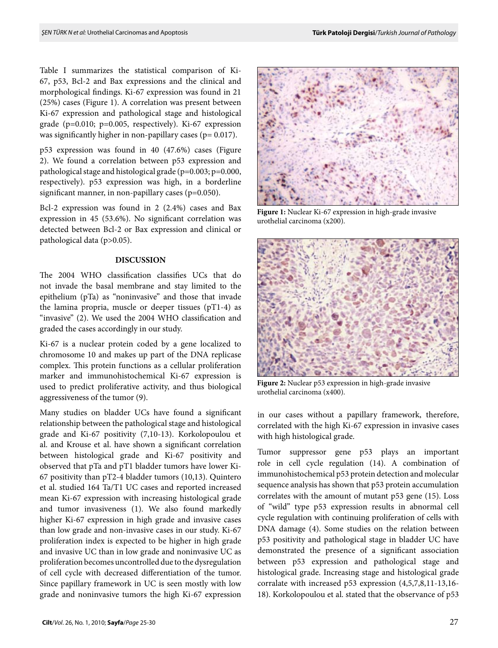Table I summarizes the statistical comparison of Ki-67, p53, Bcl-2 and Bax expressions and the clinical and morphological findings. Ki-67 expression was found in 21 (25%) cases (Figure 1). A correlation was present between Ki-67 expression and pathological stage and histological grade (p=0.010; p=0.005, respectively). Ki-67 expression was significantly higher in non-papillary cases ( $p= 0.017$ ).

p53 expression was found in 40 (47.6%) cases (Figure 2). We found a correlation between p53 expression and pathological stage and histological grade (p=0.003; p=0.000, respectively). p53 expression was high, in a borderline significant manner, in non-papillary cases (p=0.050).

Bcl-2 expression was found in 2 (2.4%) cases and Bax expression in 45 (53.6%). No significant correlation was detected between Bcl-2 or Bax expression and clinical or pathological data (p>0.05).

#### **DISCUSSION**

The 2004 WHO classification classifies UCs that do not invade the basal membrane and stay limited to the epithelium (pTa) as "noninvasive" and those that invade the lamina propria, muscle or deeper tissues (pT1-4) as "invasive" (2). We used the 2004 WHO classification and graded the cases accordingly in our study.

Ki-67 is a nuclear protein coded by a gene localized to chromosome 10 and makes up part of the DNA replicase complex. This protein functions as a cellular proliferation marker and immunohistochemical Ki-67 expression is used to predict proliferative activity, and thus biological aggressiveness of the tumor (9).

Many studies on bladder UCs have found a significant relationship between the pathological stage and histological grade and Ki-67 positivity (7,10-13). Korkolopoulou et al. and Krouse et al. have shown a significant correlation between histological grade and Ki-67 positivity and observed that pTa and pT1 bladder tumors have lower Ki-67 positivity than pT2-4 bladder tumors (10,13). Quintero et al. studied 164 Ta/T1 UC cases and reported increased mean Ki-67 expression with increasing histological grade and tumor invasiveness (1). We also found markedly higher Ki-67 expression in high grade and invasive cases than low grade and non-invasive cases in our study. Ki-67 proliferation index is expected to be higher in high grade and invasive UC than in low grade and noninvasive UC as proliferation becomes uncontrolled due to the dysregulation of cell cycle with decreased differentiation of the tumor. Since papillary framework in UC is seen mostly with low grade and noninvasive tumors the high Ki-67 expression



**Figure 1:** Nuclear Ki-67 expression in high-grade invasive urothelial carcinoma (x200).



**Figure 2:** Nuclear p53 expression in high-grade invasive urothelial carcinoma (x400).

in our cases without a papillary framework, therefore, correlated with the high Ki-67 expression in invasive cases with high histological grade.

Tumor suppressor gene p53 plays an important role in cell cycle regulation (14). A combination of immunohistochemical p53 protein detection and molecular sequence analysis has shown that p53 protein accumulation correlates with the amount of mutant p53 gene (15). Loss of "wild" type p53 expression results in abnormal cell cycle regulation with continuing proliferation of cells with DNA damage (4). Some studies on the relation between p53 positivity and pathological stage in bladder UC have demonstrated the presence of a significant association between p53 expression and pathological stage and histological grade. Increasing stage and histological grade corralate with increased p53 expression (4,5,7,8,11-13,16- 18). Korkolopoulou et al. stated that the observance of p53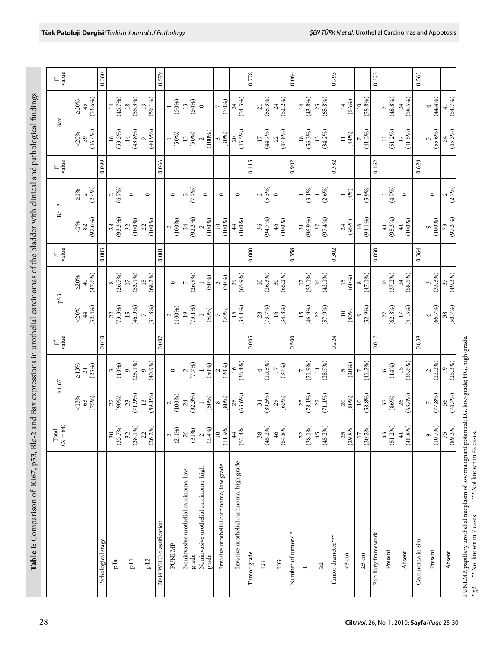|                                                                                   | :<br>'                      |
|-----------------------------------------------------------------------------------|-----------------------------|
|                                                                                   |                             |
|                                                                                   |                             |
|                                                                                   |                             |
|                                                                                   |                             |
|                                                                                   |                             |
|                                                                                   | $\frac{1}{2}$               |
|                                                                                   |                             |
|                                                                                   |                             |
|                                                                                   |                             |
|                                                                                   |                             |
|                                                                                   |                             |
|                                                                                   |                             |
|                                                                                   |                             |
|                                                                                   |                             |
|                                                                                   |                             |
|                                                                                   |                             |
|                                                                                   |                             |
|                                                                                   | $\zeta$                     |
|                                                                                   |                             |
|                                                                                   |                             |
|                                                                                   |                             |
|                                                                                   |                             |
|                                                                                   |                             |
|                                                                                   |                             |
|                                                                                   |                             |
|                                                                                   |                             |
|                                                                                   |                             |
|                                                                                   | i                           |
|                                                                                   |                             |
|                                                                                   |                             |
|                                                                                   |                             |
|                                                                                   |                             |
|                                                                                   |                             |
|                                                                                   |                             |
|                                                                                   |                             |
| l                                                                                 |                             |
|                                                                                   |                             |
|                                                                                   |                             |
|                                                                                   |                             |
|                                                                                   |                             |
|                                                                                   | ı<br>,                      |
| $31 - 2$                                                                          |                             |
|                                                                                   |                             |
|                                                                                   | りりこ<br>$\frac{1}{\epsilon}$ |
|                                                                                   |                             |
|                                                                                   |                             |
|                                                                                   |                             |
|                                                                                   |                             |
|                                                                                   |                             |
|                                                                                   |                             |
|                                                                                   |                             |
|                                                                                   |                             |
|                                                                                   |                             |
|                                                                                   |                             |
|                                                                                   |                             |
|                                                                                   |                             |
|                                                                                   |                             |
|                                                                                   |                             |
|                                                                                   |                             |
| ֧ׅ֧֧֧֧֧֧֧֪֧֚֚֚֚֚֚֚֚֚֚֚֚֚֚֚֚֚֚֚֚֚֚֚֚֚֚֚֚֚֡֕֝֟֓֡֡֡֡֬֝֞֡֡֡֬֝֞֝֬֝֬֝֬֝֬֝֬֝֞֝֬֝֝֬֝֬֝֬֝֬ |                             |
| '<br>'                                                                            |                             |

|                                                 | $(N=84)$<br>Total             | Ki-67                     |                               | $p^*$<br>value | p53                         |                                     | $p_{\text{rule}}^*$ |                                                              | $Bcl-2$                     | $p^*$<br>value |                              | Bax                           | value<br>$\boldsymbol{\dot{q}}$ |
|-------------------------------------------------|-------------------------------|---------------------------|-------------------------------|----------------|-----------------------------|-------------------------------------|---------------------|--------------------------------------------------------------|-----------------------------|----------------|------------------------------|-------------------------------|---------------------------------|
|                                                 |                               | ${}_{13\%}$               | $\geq 13\%$                   |                | $< 20\%$                    | >20%                                |                     | $& 1\%$                                                      | $\geq 1\%$                  |                | ${}_{<20\%}$                 | >20%                          |                                 |
|                                                 |                               | (75%)<br>63               | (25%)<br>$\overline{21}$      |                | $(52.4\%)$<br>44            | (47.6%)<br>$\overline{40}$          |                     | $(97.6\%)$<br>82                                             | (2.4%)<br>$\mathbf{\Omega}$ |                | (46.4%)<br>39                | $(53.6\%)$<br>45              |                                 |
| Pathological stage                              |                               |                           |                               | 0.010          |                             |                                     | 0.003               |                                                              |                             | 0.099          |                              |                               | 0.360                           |
| pТa                                             | (35.7%)<br>$\overline{30}$    | (90%)<br>27               | (10%)<br>3                    |                | (73.3%)<br>22               | (26.7%)<br>${}^{\circ}$             |                     | $(93.3\%)$<br>28                                             | (6.7%)<br>$\sim$            |                | (53.3%)<br>$\frac{6}{2}$     | (46.7%)<br>$\overline{1}$     |                                 |
| $\rm pT1$                                       | $(38.1\%)$<br>32              | (71.9%)<br>23             | $(28.1\%)$<br>ō               |                | (46.9%<br>15                | $(53.1\%)$                          |                     | (100%)<br>32                                                 | $\circ$                     |                | $(43.8\%)$<br>$\overline{4}$ | (56.3%)<br>$\overline{18}$    |                                 |
| $\rm pT2$                                       | $(26.2\%)$<br>22              | $(59.1\%)$<br>13          | (40.9%<br>$\circ$             |                | $(31.8\%)$                  | (68.2%)<br>$\frac{15}{2}$           |                     | (100%)<br>22                                                 | $\circ$                     |                | (40.9%<br>$\circ$            | $(59.1\%)$<br>$\overline{13}$ |                                 |
| 2004 WHO classification                         |                               |                           |                               | 0.007          |                             |                                     | 0.001               |                                                              |                             | 0.066          |                              |                               | 0.579                           |
| <b>PUNLMP</b>                                   | (2.4%)<br>$\sim$              | (100%<br>$\sim$           | $\circ$                       |                | (100%)<br>2                 | $\circ$                             |                     | (100%)<br>$\mathfrak{g}$                                     | $\circ$                     |                | (50%)                        | (50%)                         |                                 |
| Noninvasive urothelial carcinoma, low<br>grade  | 26<br>(31%)                   | (92.3%)<br>24             | (7.7%)<br>$\sim$              |                | $(73.1\%)$<br>$\frac{9}{2}$ | (26.9%)<br>$\overline{a}$           |                     | $(92.3\%)$<br>$^{24}$                                        | (7.7%)<br>2                 |                | (50%)<br>$\overline{13}$     | (50%)<br>$\overline{13}$      |                                 |
| Noninvasive urothelial carcinoma, high<br>grade | (2.4%)<br>$\sim$              | (50%)                     | (50%)                         |                | (50%)                       | (50%)                               |                     | (100%)                                                       | $\circ$                     |                | (100%)                       | $\circ$                       |                                 |
| Invasive urothelial carcinoma, low grade        | (11.9%)<br>$\overline{10}$    | (80%)<br>$^{\circ}$       | (20%)                         |                | (70%)                       | (30%)                               |                     | (100%)<br>$\begin{array}{c}\n 0 \\ \hline\n 0\n \end{array}$ | $\circ$                     |                | (30%)<br>3                   | (70%)<br>$\overline{a}$       |                                 |
| Invasive urothelial carcinoma, high grade       | $(52.4\%)$<br>$\ddot{4}$      | $(63.6\%)$<br>28          | (36.4%)<br>$\overline{16}$    |                | $(34.1\%)$<br>15            | (65.9%)<br>29                       |                     | (100%)<br>4                                                  | $\circ$                     |                | $(45.5\%)$<br>20             | $(54.5\%)$<br>24              |                                 |
| Tumor grade                                     |                               |                           |                               | 0.005          |                             |                                     | 0.000               |                                                              |                             | 0.115          |                              |                               | 0.778                           |
| $\overline{C}$                                  | (45.2%)<br>38                 | $(89.5\%)$<br>34          | (10.5%)<br>4                  |                | (73.7%)<br>28               | (26.3%)<br>$\overline{10}$          |                     | (94.7%)<br>36                                                | (5.3%)<br>$\sim$            |                | (44.7%)<br>$\overline{17}$   | (55.3%)<br>$\overline{21}$    |                                 |
| HG                                              | $(54.8\%)$<br>$\frac{46}{5}$  | (63%)<br>29               | (37%)<br>$\overline{17}$      |                | $(34.8\%)$<br>$\frac{6}{1}$ | (65.2%)<br>$\overline{\mathcal{E}}$ |                     | (100%)<br>$\frac{4}{6}$                                      | $\circ$                     |                | (47.8%)<br>22                | (52.2%)<br>24                 |                                 |
| Number of tumors**                              |                               |                           |                               | 0.500          |                             |                                     | 0.358               |                                                              |                             | 0.902          |                              |                               | 0.064                           |
| $\overline{\phantom{a}}$                        | $(38.1\%)$<br>32              | $(78.1\%)$                | (21.9%)<br>$\overline{a}$     |                | (46.9%)<br>15               | $(53.1\%)$<br>$\overline{17}$       |                     | $(96.9\%)$<br>31                                             | $(3.1\%)$                   |                | (56.3%)<br>$\frac{8}{18}$    | (43.8%)<br>$\overline{1}$     |                                 |
| $\approx$                                       | $(45.2\%)$<br>45              | $(71.1\%)$<br>27          | (28.9%)<br>$\exists$          |                | (57.9%)                     | $(42.1\%)$<br>$\overline{16}$       |                     | $(97.4\%)$<br>57                                             | (2.6%)                      |                | $(34.2\%)$<br>$\mathbf{r}$   | $(65.8\%)$                    |                                 |
| Tumor diameter***                               |                               |                           |                               | 0.224          |                             |                                     | 0.302               |                                                              |                             | 0.332          |                              |                               | 0.793                           |
| $<$ 3 cm                                        | $(29.8\%)$<br>25              | (80%)<br>20               | (20%)<br>S                    |                | (40%)<br>$\overline{a}$     | (60%)<br>15                         |                     | (96%)<br>24                                                  | (4%)<br>$\overline{ }$      |                | (44%)<br>$\equiv$            | (56%)<br>$\overline{14}$      |                                 |
| $\geq$ 3 cm                                     | $(20.2\%)$<br>$\overline{17}$ | $(58.8\%)$<br>$\approx$   | $(41.2\%)$                    |                | (52.9%)                     | $(47.1\%)$<br>∞                     |                     | $(94.1\%)$<br>$\frac{6}{2}$                                  | (5.9%)                      |                | (41.2%)                      | $(58.8\%)$<br>$\approx$       |                                 |
| Papillary framework                             |                               |                           |                               | 0.017          |                             |                                     | 0.050               |                                                              |                             | 0.162          |                              |                               | 0.373                           |
| Present                                         | $(51.2\%)$<br>43              | (86%)<br>37               | (14%)<br>$\circ$              |                | $(62.8\%)$<br>27            | (37.2%)<br>$\overline{2}$           |                     | $(95.3\%)$<br>$\frac{1}{4}$                                  | (4.7%)<br>2                 |                | $(51.2\%)$<br>22             | (48.8%                        |                                 |
| Absent                                          | (48.8%)<br>$\frac{4}{1}$      | $(63.4\%)$<br>26          | $(36.6\%)$<br>$\overline{15}$ |                | $(41.5\%)$                  | $(58.5\%)$<br>24                    |                     | (100%)<br>$\exists$                                          | $\circ$                     |                | $(41.5\%)$                   | $(58.5\%)$<br>24              |                                 |
| Carcinoma in situ                               |                               |                           |                               | 0.839          |                             |                                     | 0.364               |                                                              |                             | 0.620          |                              |                               | 0.561                           |
| Present                                         | (10.7%)<br>$\circ$            | (77.8%)<br>$\overline{a}$ | $(22.2\%)$<br>$\sim$          |                | (66.7%)<br>$\circ$          | (33.3%)<br>3                        |                     | (100%)<br>$\circ$                                            | $\circ$                     |                | $(55.6\%)$<br>S              | (44.4%)<br>4                  |                                 |
| Absent                                          | (89.3%)<br>75                 | (74.7%)<br>56             | (25.3%)<br>$\overline{5}$     |                | (50.7%)<br>38               | (49.3%)<br>37                       |                     | $(97.3\%)$<br>73                                             | (2.7%)<br>Z                 |                | (45.3%)<br>34                | (54.7%)<br>$\frac{1}{4}$      |                                 |

PUNLMP, papillary urothelial neoplasm of low malignant potential; LG, low-grade; HG, high-grade. PUNLMB, papillary urothelial neoplasm of low malignant potential; LG, low-grade; HG, high-grade. <br>\*  $\chi 2$  \*\* Not known in 7 cases. \*\*\* Not known in 42 cases. Not known in  $7$  cases.  $***$ Not known in 42 cases.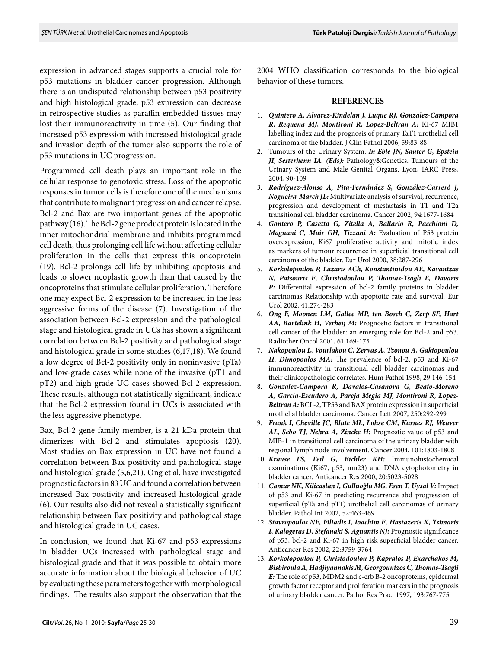expression in advanced stages supports a crucial role for p53 mutations in bladder cancer progression. Although there is an undisputed relationship between p53 positivity and high histological grade, p53 expression can decrease in retrospective studies as paraffin embedded tissues may lost their immunoreactivity in time (5). Our finding that increased p53 expression with increased histological grade and invasion depth of the tumor also supports the role of p53 mutations in UC progression.

Programmed cell death plays an important role in the cellular response to genotoxic stress. Loss of the apoptotic responses in tumor cells is therefore one of the mechanisms that contribute to malignant progression and cancer relapse. Bcl-2 and Bax are two important genes of the apoptotic pathway (16). The Bcl-2 gene product protein is located in the inner mitochondrial membrane and inhibits programmed cell death, thus prolonging cell life without affecting cellular proliferation in the cells that express this oncoprotein (19). Bcl-2 prolongs cell life by inhibiting apoptosis and leads to slower neoplastic growth than that caused by the oncoproteins that stimulate cellular proliferation. Therefore one may expect Bcl-2 expression to be increased in the less aggressive forms of the disease (7). Investigation of the association between Bcl-2 expression and the pathological stage and histological grade in UCs has shown a significant correlation between Bcl-2 positivity and pathological stage and histological grade in some studies (6,17,18). We found a low degree of Bcl-2 positivity only in noninvasive (pTa) and low-grade cases while none of the invasive (pT1 and pT2) and high-grade UC cases showed Bcl-2 expression. These results, although not statistically significant, indicate that the Bcl-2 expression found in UCs is associated with the less aggressive phenotype.

Bax, Bcl-2 gene family member, is a 21 kDa protein that dimerizes with Bcl-2 and stimulates apoptosis (20). Most studies on Bax expression in UC have not found a correlation between Bax positivity and pathological stage and histological grade (5,6,21). Ong et al. have investigated prognostic factors in 83 UC and found a correlation between increased Bax positivity and increased histological grade (6). Our results also did not reveal a statistically significant relationship between Bax positivity and pathological stage and histological grade in UC cases.

In conclusion, we found that Ki-67 and p53 expressions in bladder UCs increased with pathological stage and histological grade and that it was possible to obtain more accurate information about the biological behavior of UC by evaluating these parameters together with morphological findings. The results also support the observation that the

2004 WHO classification corresponds to the biological behavior of these tumors.

#### **REFERENCES**

- 1. *Quintero A, Alvarez-Kindelan J, Luque RJ, Gonzalez-Campora R, Requena MJ, Montironi R, Lopez-Beltran A:* Ki-67 MIB1 labelling index and the prognosis of primary TaT1 urothelial cell carcinoma of the bladder. J Clin Pathol 2006, 59:83-88
- 2. Tumours of the Urinary System. *In Eble JN, Sauter G, Epstein JI, Sesterhenn IA. (Eds):* Pathology&Genetics. Tumours of the Urinary System and Male Genital Organs. Lyon, IARC Press, 2004, 90-109
- 3. *Rodríguez-Alonso A, Pita-Fernández S, González-Carreró J, Nogueira-March JL:* Multivariate analysis of survival, recurrence, progression and development of mestastasis in T1 and T2a transitional cell bladder carcinoma. Cancer 2002, 94:1677-1684
- 4. *Gontero P, Casetta G, Zitella A, Ballario R, Pacchioni D, Magnani C, Muir GH, Tizzani A:* Evaluation of p53 protein overexpression, Ki67 proliferative activity and mitotic index as markers of tumour recurrence in superficial transitional cell carcinoma of the bladder. Eur Urol 2000, 38:287-296
- 5. *Korkolopoulou P, Lazaris ACh, Konstantinidou AE, Kavantzas N, Patsouris E, Christodoulou P, Thomas-Tsagli E, Davaris P:* Differential expression of bcl-2 family proteins in bladder carcinomas Relationship with apoptotic rate and survival. Eur Urol 2002, 41:274-283
- 6. *Ong F, Moonen LM, Gallee MP, ten Bosch C, Zerp SF, Hart AA, Bartelink H, Verheij M:* Prognostic factors in transitional cell cancer of the bladder: an emerging role for bcl-2 and p53. Radiother Oncol 2001, 61:169-175
- 7. *Nakopoulou L, Vourlakou C, Zervas A, Tzonou A, Gakiopoulou H, Dimopoulos MA:* The prevalence of bcl-2, p53 and Ki-67 immunoreactivity in transitional cell bladder carcinomas and their clinicopathologic correlates. Hum Pathol 1998, 29:146-154
- 8. *Gonzalez-Campora R, Davalos-Casanova G, Beato-Moreno A, Garcia-Escudero A, Pareja Megia MJ, Montironi R, Lopez-Beltran A:* BCL-2, TP53 and BAX protein expression in superficial urothelial bladder carcinoma. Cancer Lett 2007, 250:292-299
- 9. *Frank I, Cheville JC, Blute ML, Lohse CM, Karnes RJ, Weaver AL, Sebo TJ, Nehra A, Zincke H:* Prognostic value of p53 and MIB-1 in transitional cell carcinoma of the urinary bladder with regional lymph node involvement. Cancer 2004, 101:1803-1808
- 10. *Krause FS, Feil G, Bichler KH:* İmmunohistochemical examinations (Ki67, p53, nm23) and DNA cytophotometry in bladder cancer. Anticancer Res 2000, 20:5023-5028
- 11. *Camur NK, Kilicaslan I, Gulluoğlu MG, Esen T, Uysal V:* Impact of p53 and Ki-67 in predicting recurrence abd progression of superficial (pTa and pT1) urothelial cell carcinomas of urinary bladder. Pathol Int 2002, 52:463-469
- 12. *Stavropoulos NE, Filiadis I, Ioachim E, Hastazeris K, Tsimaris I, Kalogeras D, Stefanaki S, Agnantis NJ:* Prognostic significance of p53, bcl-2 and Ki-67 in high risk superficial bladder cancer. Anticancer Res 2002, 22:3759-3764
- 13. *Korkolopoulou P, Christodoulou P, Kapralos P, Exarchakos M, Bisbiroula A, Hadjiyannakis M, Georgountzos C, Thomas-Tsagli E:* The role of p53, MDM2 and c-erb B-2 oncoproteins, epidermal growth factor receptor and proliferation markers in the prognosis of urinary bladder cancer. Pathol Res Pract 1997, 193:767-775